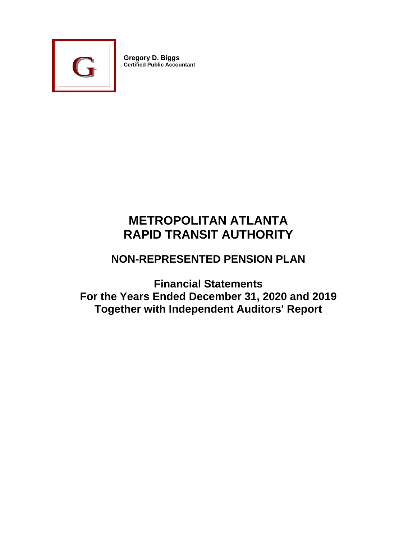

**Gregory D. Biggs Certified Public Accountant**

# **METROPOLITAN ATLANTA RAPID TRANSIT AUTHORITY**

# **NON-REPRESENTED PENSION PLAN**

**Financial Statements For the Years Ended December 31, 2020 and 2019 Together with Independent Auditors' Report**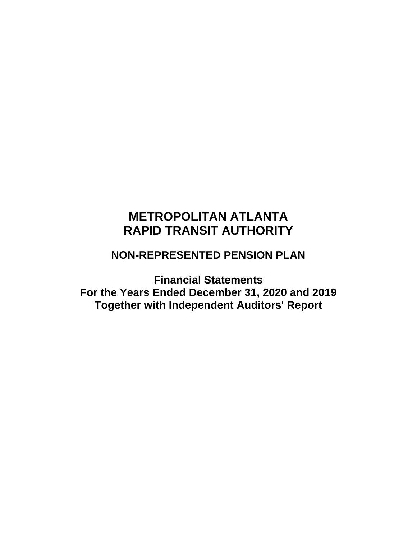# **METROPOLITAN ATLANTA RAPID TRANSIT AUTHORITY**

# **NON-REPRESENTED PENSION PLAN**

**Financial Statements For the Years Ended December 31, 2020 and 2019 Together with Independent Auditors' Report**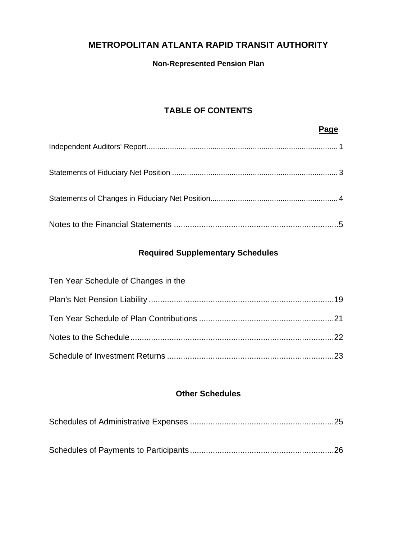# **METROPOLITAN ATLANTA RAPID TRANSIT AUTHORITY**

# **Non-Represented Pension Plan**

# **TABLE OF CONTENTS**

| Page |
|------|
|      |
|      |
|      |
|      |

# **Required Supplementary Schedules**

| Ten Year Schedule of Changes in the |  |
|-------------------------------------|--|
|                                     |  |
|                                     |  |
|                                     |  |
|                                     |  |

# **Other Schedules**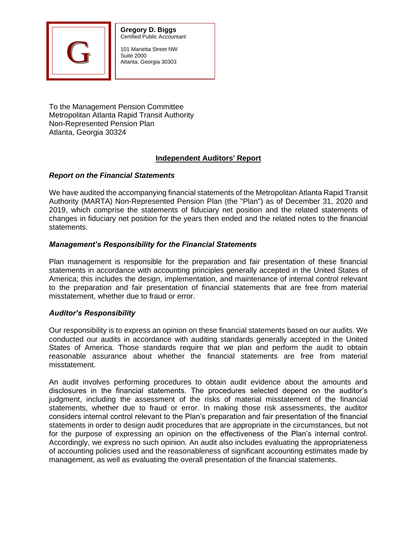

**Gregory D. Biggs** Certified Public Accountant

101 Marietta Street NW Suite 2000 Atlanta, Georgia 30303

To the Management Pension Committee Metropolitan Atlanta Rapid Transit Authority Non-Represented Pension Plan Atlanta, Georgia 30324

# **Independent Auditors' Report**

# *Report on the Financial Statements*

We have audited the accompanying financial statements of the Metropolitan Atlanta Rapid Transit Authority (MARTA) Non-Represented Pension Plan (the "Plan") as of December 31, 2020 and 2019, which comprise the statements of fiduciary net position and the related statements of changes in fiduciary net position for the years then ended and the related notes to the financial statements.

# *Management's Responsibility for the Financial Statements*

Plan management is responsible for the preparation and fair presentation of these financial statements in accordance with accounting principles generally accepted in the United States of America; this includes the design, implementation, and maintenance of internal control relevant to the preparation and fair presentation of financial statements that are free from material misstatement, whether due to fraud or error.

# *Auditor's Responsibility*

Our responsibility is to express an opinion on these financial statements based on our audits. We conducted our audits in accordance with auditing standards generally accepted in the United States of America. Those standards require that we plan and perform the audit to obtain reasonable assurance about whether the financial statements are free from material misstatement.

An audit involves performing procedures to obtain audit evidence about the amounts and disclosures in the financial statements. The procedures selected depend on the auditor's judgment, including the assessment of the risks of material misstatement of the financial statements, whether due to fraud or error. In making those risk assessments, the auditor considers internal control relevant to the Plan's preparation and fair presentation of the financial statements in order to design audit procedures that are appropriate in the circumstances, but not for the purpose of expressing an opinion on the effectiveness of the Plan's internal control. Accordingly, we express no such opinion. An audit also includes evaluating the appropriateness of accounting policies used and the reasonableness of significant accounting estimates made by management, as well as evaluating the overall presentation of the financial statements.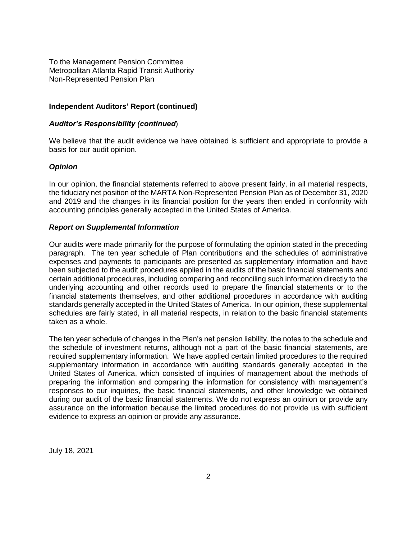To the Management Pension Committee Metropolitan Atlanta Rapid Transit Authority Non-Represented Pension Plan

#### **Independent Auditors' Report (continued)**

#### *Auditor's Responsibility (continued*)

We believe that the audit evidence we have obtained is sufficient and appropriate to provide a basis for our audit opinion.

#### *Opinion*

In our opinion, the financial statements referred to above present fairly, in all material respects, the fiduciary net position of the MARTA Non-Represented Pension Plan as of December 31, 2020 and 2019 and the changes in its financial position for the years then ended in conformity with accounting principles generally accepted in the United States of America.

#### *Report on Supplemental Information*

Our audits were made primarily for the purpose of formulating the opinion stated in the preceding paragraph. The ten year schedule of Plan contributions and the schedules of administrative expenses and payments to participants are presented as supplementary information and have been subjected to the audit procedures applied in the audits of the basic financial statements and certain additional procedures, including comparing and reconciling such information directly to the underlying accounting and other records used to prepare the financial statements or to the financial statements themselves, and other additional procedures in accordance with auditing standards generally accepted in the United States of America. In our opinion, these supplemental schedules are fairly stated, in all material respects, in relation to the basic financial statements taken as a whole.

The ten year schedule of changes in the Plan's net pension liability, the notes to the schedule and the schedule of investment returns, although not a part of the basic financial statements, are required supplementary information. We have applied certain limited procedures to the required supplementary information in accordance with auditing standards generally accepted in the United States of America, which consisted of inquiries of management about the methods of preparing the information and comparing the information for consistency with management's responses to our inquiries, the basic financial statements, and other knowledge we obtained during our audit of the basic financial statements. We do not express an opinion or provide any assurance on the information because the limited procedures do not provide us with sufficient evidence to express an opinion or provide any assurance.

July 18, 2021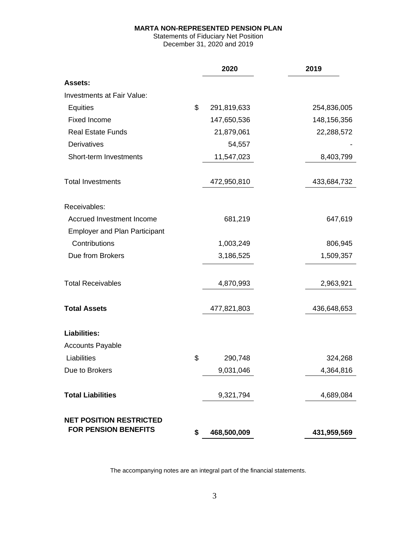Statements of Fiduciary Net Position December 31, 2020 and 2019

|                                                               | 2020              | 2019        |
|---------------------------------------------------------------|-------------------|-------------|
| <b>Assets:</b>                                                |                   |             |
| Investments at Fair Value:                                    |                   |             |
| Equities                                                      | \$<br>291,819,633 | 254,836,005 |
| <b>Fixed Income</b>                                           | 147,650,536       | 148,156,356 |
| <b>Real Estate Funds</b>                                      | 21,879,061        | 22,288,572  |
| <b>Derivatives</b>                                            | 54,557            |             |
| Short-term Investments                                        | 11,547,023        | 8,403,799   |
| <b>Total Investments</b>                                      | 472,950,810       | 433,684,732 |
| Receivables:                                                  |                   |             |
| Accrued Investment Income                                     | 681,219           | 647,619     |
| <b>Employer and Plan Participant</b>                          |                   |             |
| Contributions                                                 | 1,003,249         | 806,945     |
| Due from Brokers                                              | 3,186,525         | 1,509,357   |
| <b>Total Receivables</b>                                      | 4,870,993         | 2,963,921   |
| <b>Total Assets</b>                                           | 477,821,803       | 436,648,653 |
| <b>Liabilities:</b>                                           |                   |             |
| <b>Accounts Payable</b>                                       |                   |             |
| Liabilities                                                   | \$<br>290,748     | 324,268     |
| Due to Brokers                                                | 9,031,046         | 4,364,816   |
| <b>Total Liabilities</b>                                      | 9,321,794         | 4,689,084   |
| <b>NET POSITION RESTRICTED</b><br><b>FOR PENSION BENEFITS</b> | \$<br>468,500,009 | 431,959,569 |

The accompanying notes are an integral part of the financial statements.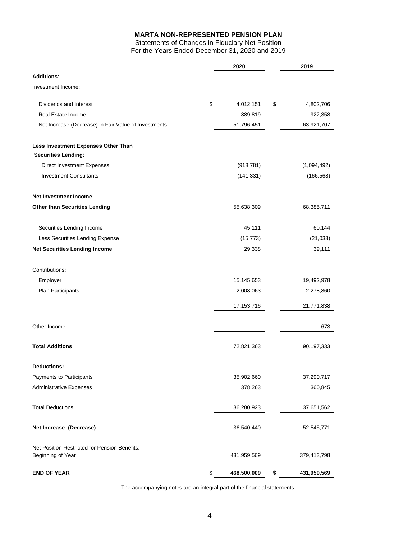Statements of Changes in Fiduciary Net Position For the Years Ended December 31, 2020 and 2019

|                                                      | 2020              | 2019              |
|------------------------------------------------------|-------------------|-------------------|
| <b>Additions:</b>                                    |                   |                   |
| Investment Income:                                   |                   |                   |
| Dividends and Interest                               | \$<br>4,012,151   | \$<br>4,802,706   |
| <b>Real Estate Income</b>                            | 889,819           | 922,358           |
| Net Increase (Decrease) in Fair Value of Investments | 51,796,451        | 63,921,707        |
| Less Investment Expenses Other Than                  |                   |                   |
| <b>Securities Lending:</b>                           |                   |                   |
| Direct Investment Expenses                           | (918, 781)        | (1,094,492)       |
| <b>Investment Consultants</b>                        | (141, 331)        | (166, 568)        |
| <b>Net Investment Income</b>                         |                   |                   |
| <b>Other than Securities Lending</b>                 | 55,638,309        | 68,385,711        |
| Securities Lending Income                            | 45,111            | 60,144            |
| Less Securities Lending Expense                      | (15, 773)         | (21, 033)         |
| <b>Net Securities Lending Income</b>                 | 29,338            | 39,111            |
| Contributions:                                       |                   |                   |
| Employer                                             | 15,145,653        | 19,492,978        |
| <b>Plan Participants</b>                             | 2,008,063         | 2,278,860         |
|                                                      | 17, 153, 716      | 21,771,838        |
| Other Income                                         |                   | 673               |
| <b>Total Additions</b>                               | 72,821,363        | 90,197,333        |
| <b>Deductions:</b>                                   |                   |                   |
| Payments to Participants                             | 35,902,660        | 37,290,717        |
| <b>Administrative Expenses</b>                       | 378,263           | 360,845           |
| <b>Total Deductions</b>                              | 36,280,923        | 37,651,562        |
| Net Increase (Decrease)                              | 36,540,440        | 52,545,771        |
| Net Position Restricted for Pension Benefits:        |                   |                   |
| Beginning of Year                                    | 431,959,569       | 379,413,798       |
| <b>END OF YEAR</b>                                   | \$<br>468,500,009 | \$<br>431,959,569 |

The accompanying notes are an integral part of the financial statements.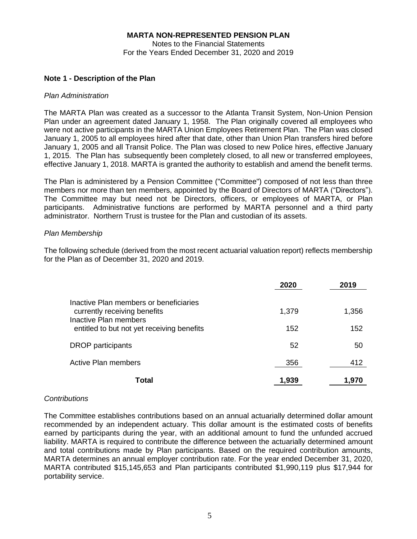Notes to the Financial Statements For the Years Ended December 31, 2020 and 2019

#### **Note 1 - Description of the Plan**

#### *Plan Administration*

The MARTA Plan was created as a successor to the Atlanta Transit System, Non-Union Pension Plan under an agreement dated January 1, 1958. The Plan originally covered all employees who were not active participants in the MARTA Union Employees Retirement Plan. The Plan was closed January 1, 2005 to all employees hired after that date, other than Union Plan transfers hired before January 1, 2005 and all Transit Police. The Plan was closed to new Police hires, effective January 1, 2015. The Plan has subsequently been completely closed, to all new or transferred employees, effective January 1, 2018. MARTA is granted the authority to establish and amend the benefit terms.

The Plan is administered by a Pension Committee ("Committee") composed of not less than three members nor more than ten members, appointed by the Board of Directors of MARTA ("Directors"). The Committee may but need not be Directors, officers, or employees of MARTA, or Plan participants. Administrative functions are performed by MARTA personnel and a third party administrator. Northern Trust is trustee for the Plan and custodian of its assets.

#### *Plan Membership*

The following schedule (derived from the most recent actuarial valuation report) reflects membership for the Plan as of December 31, 2020 and 2019.

|                                                                                                 | 2020  | 2019  |
|-------------------------------------------------------------------------------------------------|-------|-------|
| Inactive Plan members or beneficiaries<br>currently receiving benefits<br>Inactive Plan members | 1,379 | 1,356 |
| entitled to but not yet receiving benefits                                                      | 152   | 152   |
| <b>DROP</b> participants                                                                        | 52    | 50    |
| Active Plan members                                                                             | 356   | 412   |
| Total                                                                                           | 1,939 | 1,970 |

#### *Contributions*

The Committee establishes contributions based on an annual actuarially determined dollar amount recommended by an independent actuary. This dollar amount is the estimated costs of benefits earned by participants during the year, with an additional amount to fund the unfunded accrued liability. MARTA is required to contribute the difference between the actuarially determined amount and total contributions made by Plan participants. Based on the required contribution amounts, MARTA determines an annual employer contribution rate. For the year ended December 31, 2020, MARTA contributed \$15,145,653 and Plan participants contributed \$1,990,119 plus \$17,944 for portability service.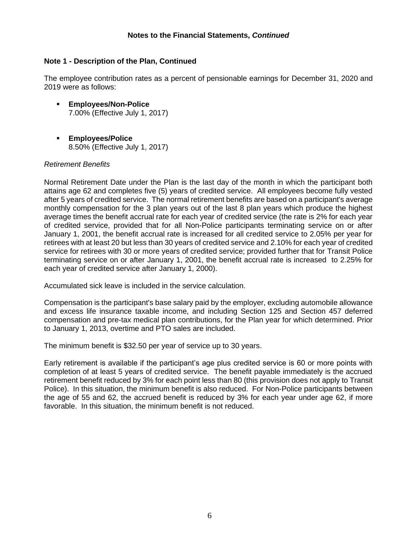# **Note 1 - Description of the Plan, Continued**

The employee contribution rates as a percent of pensionable earnings for December 31, 2020 and 2019 were as follows:

- **Employees/Non-Police** 7.00% (Effective July 1, 2017)
- **Employees/Police** 8.50% (Effective July 1, 2017)

# *Retirement Benefits*

Normal Retirement Date under the Plan is the last day of the month in which the participant both attains age 62 and completes five (5) years of credited service. All employees become fully vested after 5 years of credited service. The normal retirement benefits are based on a participant's average monthly compensation for the 3 plan years out of the last 8 plan years which produce the highest average times the benefit accrual rate for each year of credited service (the rate is 2% for each year of credited service, provided that for all Non-Police participants terminating service on or after January 1, 2001, the benefit accrual rate is increased for all credited service to 2.05% per year for retirees with at least 20 but less than 30 years of credited service and 2.10% for each year of credited service for retirees with 30 or more years of credited service; provided further that for Transit Police terminating service on or after January 1, 2001, the benefit accrual rate is increased to 2.25% for each year of credited service after January 1, 2000).

Accumulated sick leave is included in the service calculation.

Compensation is the participant's base salary paid by the employer, excluding automobile allowance and excess life insurance taxable income, and including Section 125 and Section 457 deferred compensation and pre-tax medical plan contributions, for the Plan year for which determined. Prior to January 1, 2013, overtime and PTO sales are included.

The minimum benefit is \$32.50 per year of service up to 30 years.

Early retirement is available if the participant's age plus credited service is 60 or more points with completion of at least 5 years of credited service. The benefit payable immediately is the accrued retirement benefit reduced by 3% for each point less than 80 (this provision does not apply to Transit Police). In this situation, the minimum benefit is also reduced. For Non-Police participants between the age of 55 and 62, the accrued benefit is reduced by 3% for each year under age 62, if more favorable. In this situation, the minimum benefit is not reduced.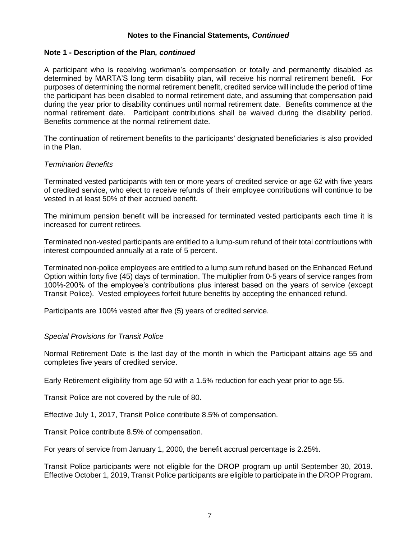#### **Note 1 - Description of the Plan***, continued*

A participant who is receiving workman's compensation or totally and permanently disabled as determined by MARTA'S long term disability plan, will receive his normal retirement benefit. For purposes of determining the normal retirement benefit, credited service will include the period of time the participant has been disabled to normal retirement date, and assuming that compensation paid during the year prior to disability continues until normal retirement date. Benefits commence at the normal retirement date. Participant contributions shall be waived during the disability period. Benefits commence at the normal retirement date.

The continuation of retirement benefits to the participants' designated beneficiaries is also provided in the Plan.

#### *Termination Benefits*

Terminated vested participants with ten or more years of credited service or age 62 with five years of credited service, who elect to receive refunds of their employee contributions will continue to be vested in at least 50% of their accrued benefit.

The minimum pension benefit will be increased for terminated vested participants each time it is increased for current retirees.

Terminated non-vested participants are entitled to a lump-sum refund of their total contributions with interest compounded annually at a rate of 5 percent.

Terminated non-police employees are entitled to a lump sum refund based on the Enhanced Refund Option within forty five (45) days of termination. The multiplier from 0-5 years of service ranges from 100%-200% of the employee's contributions plus interest based on the years of service (except Transit Police). Vested employees forfeit future benefits by accepting the enhanced refund.

Participants are 100% vested after five (5) years of credited service.

#### *Special Provisions for Transit Police*

Normal Retirement Date is the last day of the month in which the Participant attains age 55 and completes five years of credited service.

Early Retirement eligibility from age 50 with a 1.5% reduction for each year prior to age 55.

Transit Police are not covered by the rule of 80.

Effective July 1, 2017, Transit Police contribute 8.5% of compensation.

Transit Police contribute 8.5% of compensation.

For years of service from January 1, 2000, the benefit accrual percentage is 2.25%.

Transit Police participants were not eligible for the DROP program up until September 30, 2019. Effective October 1, 2019, Transit Police participants are eligible to participate in the DROP Program.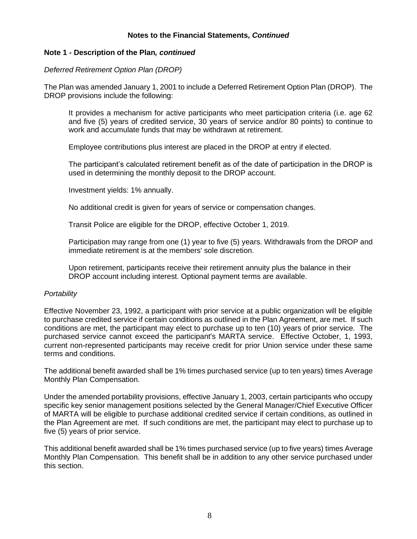# **Note 1 - Description of the Plan***, continued*

### *Deferred Retirement Option Plan (DROP)*

The Plan was amended January 1, 2001 to include a Deferred Retirement Option Plan (DROP). The DROP provisions include the following:

It provides a mechanism for active participants who meet participation criteria (i.e. age 62 and five (5) years of credited service, 30 years of service and/or 80 points) to continue to work and accumulate funds that may be withdrawn at retirement.

Employee contributions plus interest are placed in the DROP at entry if elected.

The participant's calculated retirement benefit as of the date of participation in the DROP is used in determining the monthly deposit to the DROP account.

Investment yields: 1% annually.

No additional credit is given for years of service or compensation changes.

Transit Police are eligible for the DROP, effective October 1, 2019.

Participation may range from one (1) year to five (5) years. Withdrawals from the DROP and immediate retirement is at the members' sole discretion.

Upon retirement, participants receive their retirement annuity plus the balance in their DROP account including interest. Optional payment terms are available.

#### *Portability*

Effective November 23, 1992, a participant with prior service at a public organization will be eligible to purchase credited service if certain conditions as outlined in the Plan Agreement, are met. If such conditions are met, the participant may elect to purchase up to ten (10) years of prior service. The purchased service cannot exceed the participant's MARTA service. Effective October, 1, 1993, current non-represented participants may receive credit for prior Union service under these same terms and conditions.

The additional benefit awarded shall be 1% times purchased service (up to ten years) times Average Monthly Plan Compensation.

Under the amended portability provisions, effective January 1, 2003, certain participants who occupy specific key senior management positions selected by the General Manager/Chief Executive Officer of MARTA will be eligible to purchase additional credited service if certain conditions, as outlined in the Plan Agreement are met. If such conditions are met, the participant may elect to purchase up to five (5) years of prior service.

This additional benefit awarded shall be 1% times purchased service (up to five years) times Average Monthly Plan Compensation. This benefit shall be in addition to any other service purchased under this section.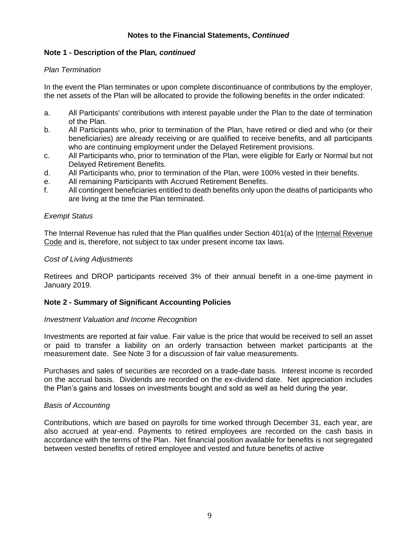# **Note 1 - Description of the Plan***, continued*

# *Plan Termination*

In the event the Plan terminates or upon complete discontinuance of contributions by the employer, the net assets of the Plan will be allocated to provide the following benefits in the order indicated:

- a. All Participants' contributions with interest payable under the Plan to the date of termination of the Plan.
- b. All Participants who, prior to termination of the Plan, have retired or died and who (or their beneficiaries) are already receiving or are qualified to receive benefits, and all participants who are continuing employment under the Delayed Retirement provisions.
- c. All Participants who, prior to termination of the Plan, were eligible for Early or Normal but not Delayed Retirement Benefits.
- d. All Participants who, prior to termination of the Plan, were 100% vested in their benefits.
- e. All remaining Participants with Accrued Retirement Benefits.
- f. All contingent beneficiaries entitled to death benefits only upon the deaths of participants who are living at the time the Plan terminated.

# *Exempt Status*

The Internal Revenue has ruled that the Plan qualifies under Section 401(a) of the Internal Revenue Code and is, therefore, not subject to tax under present income tax laws.

# *Cost of Living Adjustments*

Retirees and DROP participants received 3% of their annual benefit in a one-time payment in January 2019.

# **Note 2 - Summary of Significant Accounting Policies**

# *Investment Valuation and Income Recognition*

Investments are reported at fair value. Fair value is the price that would be received to sell an asset or paid to transfer a liability on an orderly transaction between market participants at the measurement date. See Note 3 for a discussion of fair value measurements.

Purchases and sales of securities are recorded on a trade-date basis. Interest income is recorded on the accrual basis. Dividends are recorded on the ex-dividend date. Net appreciation includes the Plan's gains and losses on investments bought and sold as well as held during the year.

# *Basis of Accounting*

Contributions, which are based on payrolls for time worked through December 31, each year, are also accrued at year-end. Payments to retired employees are recorded on the cash basis in accordance with the terms of the Plan. Net financial position available for benefits is not segregated between vested benefits of retired employee and vested and future benefits of active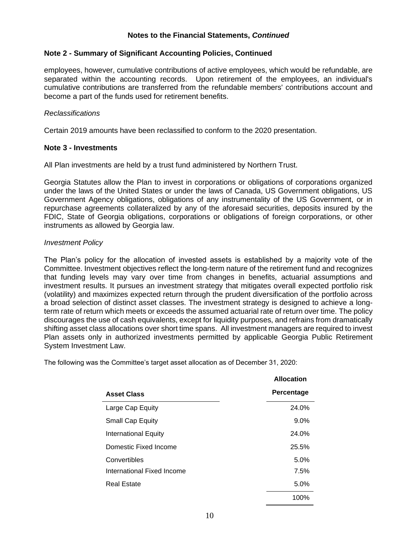# **Note 2 - Summary of Significant Accounting Policies, Continued**

employees, however, cumulative contributions of active employees, which would be refundable, are separated within the accounting records. Upon retirement of the employees, an individual's cumulative contributions are transferred from the refundable members' contributions account and become a part of the funds used for retirement benefits.

#### *Reclassifications*

Certain 2019 amounts have been reclassified to conform to the 2020 presentation.

#### **Note 3 - Investments**

All Plan investments are held by a trust fund administered by Northern Trust.

Georgia Statutes allow the Plan to invest in corporations or obligations of corporations organized under the laws of the United States or under the laws of Canada, US Government obligations, US Government Agency obligations, obligations of any instrumentality of the US Government, or in repurchase agreements collateralized by any of the aforesaid securities, deposits insured by the FDIC, State of Georgia obligations, corporations or obligations of foreign corporations, or other instruments as allowed by Georgia law.

#### *Investment Policy*

The Plan's policy for the allocation of invested assets is established by a majority vote of the Committee. Investment objectives reflect the long-term nature of the retirement fund and recognizes that funding levels may vary over time from changes in benefits, actuarial assumptions and investment results. It pursues an investment strategy that mitigates overall expected portfolio risk (volatility) and maximizes expected return through the prudent diversification of the portfolio across a broad selection of distinct asset classes. The investment strategy is designed to achieve a longterm rate of return which meets or exceeds the assumed actuarial rate of return over time. The policy discourages the use of cash equivalents, except for liquidity purposes, and refrains from dramatically shifting asset class allocations over short time spans. All investment managers are required to invest Plan assets only in authorized investments permitted by applicable Georgia Public Retirement System Investment Law.

The following was the Committee's target asset allocation as of December 31, 2020:

|                            | <b>Allocation</b> |
|----------------------------|-------------------|
| <b>Asset Class</b>         | Percentage        |
| Large Cap Equity           | 24.0%             |
| <b>Small Cap Equity</b>    | $9.0\%$           |
| International Equity       | 24.0%             |
| Domestic Fixed Income      | 25.5%             |
| Convertibles               | 5.0%              |
| International Fixed Income | 7.5%              |
| Real Estate                | 5.0%              |
|                            | 100%              |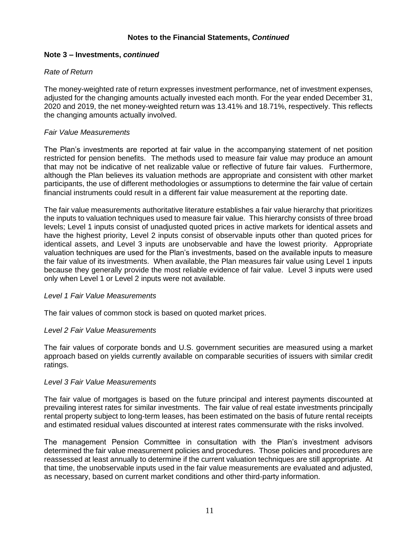## **Note 3 – Investments,** *continued*

#### *Rate of Return*

The money-weighted rate of return expresses investment performance, net of investment expenses, adjusted for the changing amounts actually invested each month. For the year ended December 31, 2020 and 2019, the net money-weighted return was 13.41% and 18.71%, respectively. This reflects the changing amounts actually involved.

#### *Fair Value Measurements*

The Plan's investments are reported at fair value in the accompanying statement of net position restricted for pension benefits. The methods used to measure fair value may produce an amount that may not be indicative of net realizable value or reflective of future fair values. Furthermore, although the Plan believes its valuation methods are appropriate and consistent with other market participants, the use of different methodologies or assumptions to determine the fair value of certain financial instruments could result in a different fair value measurement at the reporting date.

The fair value measurements authoritative literature establishes a fair value hierarchy that prioritizes the inputs to valuation techniques used to measure fair value. This hierarchy consists of three broad levels; Level 1 inputs consist of unadjusted quoted prices in active markets for identical assets and have the highest priority, Level 2 inputs consist of observable inputs other than quoted prices for identical assets, and Level 3 inputs are unobservable and have the lowest priority. Appropriate valuation techniques are used for the Plan's investments, based on the available inputs to measure the fair value of its investments. When available, the Plan measures fair value using Level 1 inputs because they generally provide the most reliable evidence of fair value. Level 3 inputs were used only when Level 1 or Level 2 inputs were not available.

#### *Level 1 Fair Value Measurements*

The fair values of common stock is based on quoted market prices.

#### *Level 2 Fair Value Measurements*

The fair values of corporate bonds and U.S. government securities are measured using a market approach based on yields currently available on comparable securities of issuers with similar credit ratings.

#### *Level 3 Fair Value Measurements*

The fair value of mortgages is based on the future principal and interest payments discounted at prevailing interest rates for similar investments. The fair value of real estate investments principally rental property subject to long-term leases, has been estimated on the basis of future rental receipts and estimated residual values discounted at interest rates commensurate with the risks involved.

The management Pension Committee in consultation with the Plan's investment advisors determined the fair value measurement policies and procedures. Those policies and procedures are reassessed at least annually to determine if the current valuation techniques are still appropriate. At that time, the unobservable inputs used in the fair value measurements are evaluated and adjusted, as necessary, based on current market conditions and other third-party information.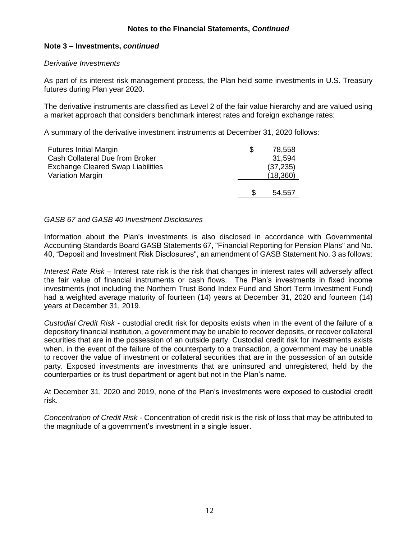# **Note 3 – Investments,** *continued*

## *Derivative Investments*

As part of its interest risk management process, the Plan held some investments in U.S. Treasury futures during Plan year 2020.

The derivative instruments are classified as Level 2 of the fair value hierarchy and are valued using a market approach that considers benchmark interest rates and foreign exchange rates:

A summary of the derivative investment instruments at December 31, 2020 follows:

| <b>Futures Initial Margin</b><br>Cash Collateral Due from Broker<br><b>Exchange Cleared Swap Liabilities</b><br><b>Variation Margin</b> | S | 78,558<br>31,594<br>(37, 235)<br>(18,360) |
|-----------------------------------------------------------------------------------------------------------------------------------------|---|-------------------------------------------|
|                                                                                                                                         |   | 54,557                                    |

#### *GASB 67 and GASB 40 Investment Disclosures*

Information about the Plan's investments is also disclosed in accordance with Governmental Accounting Standards Board GASB Statements 67, "Financial Reporting for Pension Plans" and No. 40, "Deposit and Investment Risk Disclosures", an amendment of GASB Statement No. 3 as follows:

*Interest Rate Risk* – Interest rate risk is the risk that changes in interest rates will adversely affect the fair value of financial instruments or cash flows. The Plan's investments in fixed income investments (not including the Northern Trust Bond Index Fund and Short Term Investment Fund) had a weighted average maturity of fourteen (14) years at December 31, 2020 and fourteen (14) years at December 31, 2019.

*Custodial Credit Risk* - custodial credit risk for deposits exists when in the event of the failure of a depository financial institution, a government may be unable to recover deposits, or recover collateral securities that are in the possession of an outside party. Custodial credit risk for investments exists when, in the event of the failure of the counterparty to a transaction, a government may be unable to recover the value of investment or collateral securities that are in the possession of an outside party. Exposed investments are investments that are uninsured and unregistered, held by the counterparties or its trust department or agent but not in the Plan's name.

At December 31, 2020 and 2019, none of the Plan's investments were exposed to custodial credit risk.

*Concentration of Credit Risk* - Concentration of credit risk is the risk of loss that may be attributed to the magnitude of a government's investment in a single issuer.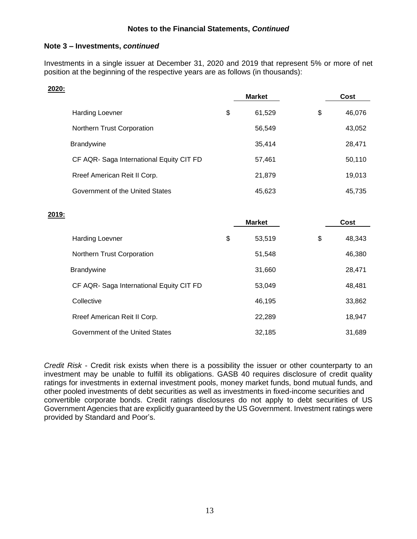# **Note 3 – Investments,** *continued*

Investments in a single issuer at December 31, 2020 and 2019 that represent 5% or more of net position at the beginning of the respective years are as follows (in thousands):

| 2020: |                                         | <b>Market</b> | Cost         |
|-------|-----------------------------------------|---------------|--------------|
|       | <b>Harding Loevner</b>                  | \$<br>61,529  | \$<br>46,076 |
|       | Northern Trust Corporation              | 56,549        | 43,052       |
|       | <b>Brandywine</b>                       | 35,414        | 28,471       |
|       | CF AQR-Saga International Equity CIT FD | 57,461        | 50,110       |
|       | Rreef American Reit II Corp.            | 21,879        | 19,013       |
|       | Government of the United States         | 45,623        | 45,735       |

| 2019: |                                         | <b>Market</b> | Cost         |
|-------|-----------------------------------------|---------------|--------------|
|       |                                         |               |              |
|       | <b>Harding Loevner</b>                  | \$<br>53,519  | \$<br>48,343 |
|       | Northern Trust Corporation              | 51,548        | 46,380       |
|       | <b>Brandywine</b>                       | 31,660        | 28,471       |
|       | CF AQR-Saga International Equity CIT FD | 53,049        | 48,481       |
|       | Collective                              | 46,195        | 33,862       |
|       | Rreef American Reit II Corp.            | 22,289        | 18,947       |
|       | Government of the United States         | 32,185        | 31,689       |

*Credit Risk* - Credit risk exists when there is a possibility the issuer or other counterparty to an investment may be unable to fulfill its obligations. GASB 40 requires disclosure of credit quality ratings for investments in external investment pools, money market funds, bond mutual funds, and other pooled investments of debt securities as well as investments in fixed-income securities and convertible corporate bonds. Credit ratings disclosures do not apply to debt securities of US Government Agencies that are explicitly guaranteed by the US Government. Investment ratings were provided by Standard and Poor's.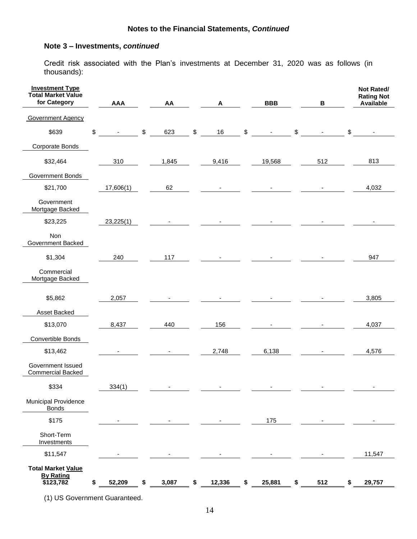#### **Note 3 – Investments,** *continued*

Credit risk associated with the Plan's investments at December 31, 2020 was as follows (in thousands):

| <b>Investment Type</b><br><b>Total Market Value</b><br>for Category | <b>AAA</b>   | AA          | A            | <b>BBB</b>   | B                    | Not Rated/<br><b>Rating Not</b><br>Available |
|---------------------------------------------------------------------|--------------|-------------|--------------|--------------|----------------------|----------------------------------------------|
| <b>Government Agency</b>                                            |              |             |              |              |                      |                                              |
| \$639                                                               | \$<br>$\sim$ | \$<br>623   | \$<br>16     | \$           | \$<br>$\blacksquare$ | \$                                           |
| Corporate Bonds                                                     |              |             |              |              |                      |                                              |
| \$32,464                                                            | 310          | 1,845       | 9,416        | 19,568       | 512                  | 813                                          |
| Government Bonds                                                    |              |             |              |              |                      |                                              |
| \$21,700                                                            | 17,606(1)    | 62          |              |              |                      | 4,032                                        |
| Government<br>Mortgage Backed                                       |              |             |              |              |                      |                                              |
| \$23,225                                                            | 23,225(1)    |             |              |              |                      |                                              |
| Non<br><b>Government Backed</b>                                     |              |             |              |              |                      |                                              |
| \$1,304                                                             | 240          | 117         |              |              |                      | 947                                          |
| Commercial<br>Mortgage Backed                                       |              |             |              |              |                      |                                              |
| \$5,862                                                             | 2,057        |             |              |              |                      | 3,805                                        |
| Asset Backed                                                        |              |             |              |              |                      |                                              |
| \$13,070                                                            | 8,437        | 440         | 156          |              |                      | 4,037                                        |
| Convertible Bonds                                                   |              |             |              |              |                      |                                              |
| \$13,462                                                            |              |             | 2,748        | 6,138        |                      | 4,576                                        |
| Government Issued<br><b>Commercial Backed</b>                       |              |             |              |              |                      |                                              |
| \$334                                                               | 334(1)       |             |              |              |                      |                                              |
| Municipal Providence<br><b>Bonds</b>                                |              |             |              |              |                      |                                              |
| \$175                                                               |              |             |              | 175          |                      |                                              |
| Short-Term<br>Investments                                           |              |             |              |              |                      |                                              |
| \$11,547                                                            |              |             |              |              |                      | 11,547                                       |
| <b>Total Market Value</b><br><b>By Rating</b><br>\$123,782          | \$<br>52,209 | \$<br>3,087 | \$<br>12,336 | \$<br>25,881 | \$<br>512            | \$<br>29,757                                 |
|                                                                     |              |             |              |              |                      |                                              |

(1) US Government Guaranteed.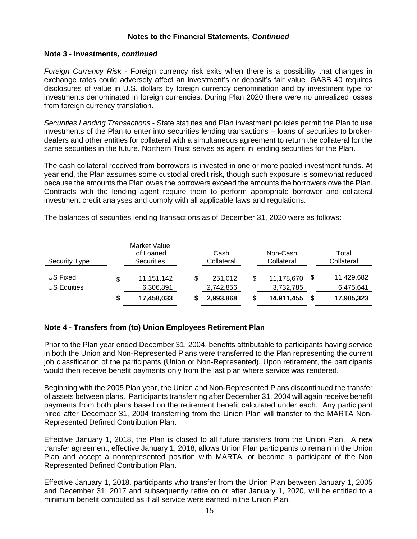#### **Note 3 - Investments***, continued*

*Foreign Currency Risk* - Foreign currency risk exits when there is a possibility that changes in exchange rates could adversely affect an investment's or deposit's fair value. GASB 40 requires disclosures of value in U.S. dollars by foreign currency denomination and by investment type for investments denominated in foreign currencies. During Plan 2020 there were no unrealized losses from foreign currency translation.

*Securities Lending Transactions* - State statutes and Plan investment policies permit the Plan to use investments of the Plan to enter into securities lending transactions – loans of securities to brokerdealers and other entities for collateral with a simultaneous agreement to return the collateral for the same securities in the future. Northern Trust serves as agent in lending securities for the Plan.

The cash collateral received from borrowers is invested in one or more pooled investment funds. At year end, the Plan assumes some custodial credit risk, though such exposure is somewhat reduced because the amounts the Plan owes the borrowers exceed the amounts the borrowers owe the Plan. Contracts with the lending agent require them to perform appropriate borrower and collateral investment credit analyses and comply with all applicable laws and regulations.

| Security Type           |   | Market Value<br>of Loaned<br><b>Securities</b> | Cash<br>Collateral   | Non-Cash<br>Collateral  | Total<br>Collateral     |
|-------------------------|---|------------------------------------------------|----------------------|-------------------------|-------------------------|
| US Fixed<br>US Equities |   | 11,151.142<br>6,306,891                        | 251.012<br>2,742,856 | 11,178,670<br>3,732,785 | 11,429,682<br>6,475,641 |
|                         | S | 17,458,033                                     | 2,993,868            | 14,911,455              | 17,905,323              |

The balances of securities lending transactions as of December 31, 2020 were as follows:

# **Note 4 - Transfers from (to) Union Employees Retirement Plan**

Prior to the Plan year ended December 31, 2004, benefits attributable to participants having service in both the Union and Non-Represented Plans were transferred to the Plan representing the current job classification of the participants (Union or Non-Represented). Upon retirement, the participants would then receive benefit payments only from the last plan where service was rendered.

Beginning with the 2005 Plan year, the Union and Non-Represented Plans discontinued the transfer of assets between plans. Participants transferring after December 31, 2004 will again receive benefit payments from both plans based on the retirement benefit calculated under each. Any participant hired after December 31, 2004 transferring from the Union Plan will transfer to the MARTA Non-Represented Defined Contribution Plan.

Effective January 1, 2018, the Plan is closed to all future transfers from the Union Plan. A new transfer agreement, effective January 1, 2018, allows Union Plan participants to remain in the Union Plan and accept a nonrepresented position with MARTA, or become a participant of the Non Represented Defined Contribution Plan.

Effective January 1, 2018, participants who transfer from the Union Plan between January 1, 2005 and December 31, 2017 and subsequently retire on or after January 1, 2020, will be entitled to a minimum benefit computed as if all service were earned in the Union Plan.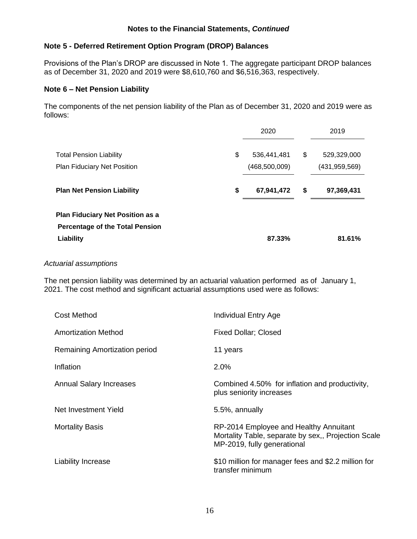# **Note 5 - Deferred Retirement Option Program (DROP) Balances**

Provisions of the Plan's DROP are discussed in Note 1. The aggregate participant DROP balances as of December 31, 2020 and 2019 were \$8,610,760 and \$6,516,363, respectively.

# **Note 6 – Net Pension Liability**

The components of the net pension liability of the Plan as of December 31, 2020 and 2019 were as follows:

|                                                                                   | 2020                                 | 2019                                 |
|-----------------------------------------------------------------------------------|--------------------------------------|--------------------------------------|
| <b>Total Pension Liability</b><br><b>Plan Fiduciary Net Position</b>              | \$<br>536,441,481<br>(468, 500, 009) | \$<br>529,329,000<br>(431, 959, 569) |
| <b>Plan Net Pension Liability</b>                                                 | \$<br>67,941,472                     | \$<br>97,369,431                     |
| <b>Plan Fiduciary Net Position as a</b><br><b>Percentage of the Total Pension</b> |                                      |                                      |
| Liability                                                                         | 87.33%                               | 81.61%                               |

#### *Actuarial assumptions*

The net pension liability was determined by an actuarial valuation performed as of January 1, 2021. The cost method and significant actuarial assumptions used were as follows:

| Cost Method                    | <b>Individual Entry Age</b>                                                                                                 |
|--------------------------------|-----------------------------------------------------------------------------------------------------------------------------|
| <b>Amortization Method</b>     | <b>Fixed Dollar; Closed</b>                                                                                                 |
| Remaining Amortization period  | 11 years                                                                                                                    |
| Inflation                      | 2.0%                                                                                                                        |
| <b>Annual Salary Increases</b> | Combined 4.50% for inflation and productivity,<br>plus seniority increases                                                  |
| Net Investment Yield           | 5.5%, annually                                                                                                              |
| <b>Mortality Basis</b>         | RP-2014 Employee and Healthy Annuitant<br>Mortality Table, separate by sex, Projection Scale<br>MP-2019, fully generational |
| Liability Increase             | \$10 million for manager fees and \$2.2 million for<br>transfer minimum                                                     |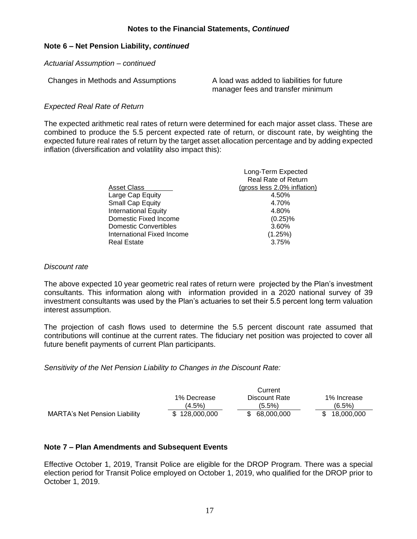# **Note 6 – Net Pension Liability,** *continued*

# *Actuarial Assumption – continued*

| Changes in Methods and Assumptions |  |  |
|------------------------------------|--|--|
|------------------------------------|--|--|

A load was added to liabilities for future manager fees and transfer minimum

# *Expected Real Rate of Return*

The expected arithmetic real rates of return were determined for each major asset class. These are combined to produce the 5.5 percent expected rate of return, or discount rate, by weighting the expected future real rates of return by the target asset allocation percentage and by adding expected inflation (diversification and volatility also impact this):

|                              | Long-Term Expected          |
|------------------------------|-----------------------------|
|                              | <b>Real Rate of Return</b>  |
| <b>Asset Class</b>           | (gross less 2.0% inflation) |
| Large Cap Equity             | 4.50%                       |
| Small Cap Equity             | 4.70%                       |
| <b>International Equity</b>  | 4.80%                       |
| Domestic Fixed Income        | $(0.25)\%$                  |
| <b>Domestic Convertibles</b> | 3.60%                       |
| International Fixed Income   | (1.25%)                     |
| <b>Real Estate</b>           | 3.75%                       |

## *Discount rate*

The above expected 10 year geometric real rates of return were projected by the Plan's investment consultants. This information along with information provided in a 2020 national survey of 39 investment consultants was used by the Plan's actuaries to set their 5.5 percent long term valuation interest assumption.

The projection of cash flows used to determine the 5.5 percent discount rate assumed that contributions will continue at the current rates. The fiduciary net position was projected to cover all future benefit payments of current Plan participants.

*Sensitivity of the Net Pension Liability to Changes in the Discount Rate:*

|                                      |               | Current       |             |
|--------------------------------------|---------------|---------------|-------------|
|                                      | 1% Decrease   | Discount Rate | 1% Increase |
|                                      | $(4.5\%)$     | $(5.5\%)$     | $(6.5\%)$   |
| <b>MARTA's Net Pension Liability</b> | \$128,000,000 | 68,000,000    | 18,000,000  |

# **Note 7 – Plan Amendments and Subsequent Events**

Effective October 1, 2019, Transit Police are eligible for the DROP Program. There was a special election period for Transit Police employed on October 1, 2019, who qualified for the DROP prior to October 1, 2019.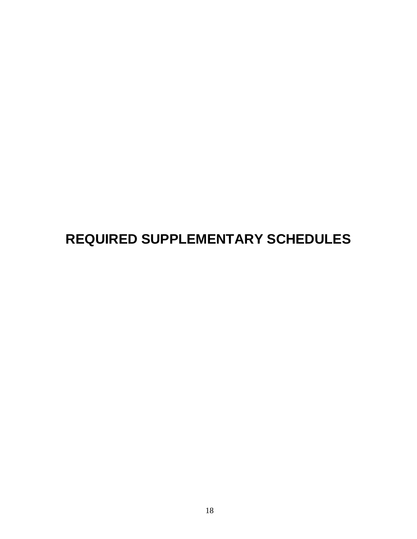# **REQUIRED SUPPLEMENTARY SCHEDULES**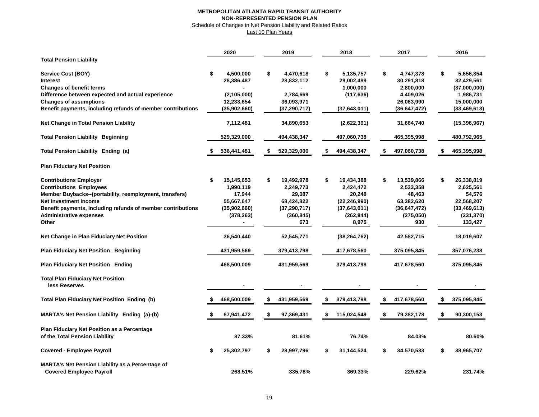#### **METROPOLITAN ATLANTA RAPID TRANSIT AUTHORITY NON-REPRESENTED PENSION PLAN**

Schedule of Changes in Net Pension Liability and Related Ratios

Last 10 Plan Years

|                                                                                                                            | 2020                                    | 2019                                    |    | 2018                                 | 2017                                       |    | 2016                                    |
|----------------------------------------------------------------------------------------------------------------------------|-----------------------------------------|-----------------------------------------|----|--------------------------------------|--------------------------------------------|----|-----------------------------------------|
| <b>Total Pension Liability</b>                                                                                             |                                         |                                         |    |                                      |                                            |    |                                         |
| <b>Service Cost (BOY)</b><br><b>Interest</b><br><b>Changes of benefit terms</b>                                            | \$<br>4,500,000<br>28,386,487           | \$<br>4,470,618<br>28,832,112           | \$ | 5,135,757<br>29,002,499<br>1,000,000 | \$<br>4,747,378<br>30,291,818<br>2,800,000 | \$ | 5,656,354<br>32,429,561<br>(37,000,000) |
| Difference between expected and actual experience                                                                          | (2,105,000)                             | 2,784,669                               |    | (117, 636)                           | 4,409,026                                  |    | 1,986,731                               |
| <b>Changes of assumptions</b>                                                                                              | 12,233,654                              | 36,093,971                              |    |                                      | 26,063,990                                 |    | 15,000,000                              |
| Benefit payments, including refunds of member contributions                                                                | (35,902,660)                            | (37,290,717)                            |    | (37, 643, 011)                       | (36, 647, 472)                             |    | (33, 469, 613)                          |
| <b>Net Change in Total Pension Liability</b>                                                                               | 7,112,481                               | 34,890,653                              |    | (2,622,391)                          | 31,664,740                                 |    | (15, 396, 967)                          |
| <b>Total Pension Liability Beginning</b>                                                                                   | 529,329,000                             | 494,438,347                             |    | 497,060,738                          | 465,395,998                                |    | 480,792,965                             |
| <b>Total Pension Liability Ending (a)</b>                                                                                  | 536,441,481                             | \$<br>529,329,000                       | S  | 494,438,347                          | 497,060,738                                | \$ | 465,395,998                             |
| <b>Plan Fiduciary Net Position</b>                                                                                         |                                         |                                         |    |                                      |                                            |    |                                         |
| <b>Contributions Employer</b><br><b>Contributions Employees</b><br>Member Buybacks--(portability, reemployment, transfers) | \$<br>15,145,653<br>1,990,119<br>17,944 | \$<br>19,492,978<br>2,249,773<br>29,087 | \$ | 19,434,388<br>2,424,472<br>20,248    | \$<br>13,539,866<br>2,533,358<br>48,463    | \$ | 26,338,819<br>2.625.561<br>54,576       |
| Net investment income                                                                                                      | 55,667,647                              | 68,424,822                              |    | (22,246,990)                         | 63,382,620                                 |    | 22,568,207                              |
| Benefit payments, including refunds of member contributions                                                                | (35,902,660)                            | (37, 290, 717)                          |    | (37, 643, 011)                       | (36,647,472)                               |    | (33, 469, 613)                          |
| <b>Administrative expenses</b>                                                                                             | (378, 263)                              | (360, 845)                              |    | (262, 844)                           | (275,050)                                  |    | (231, 370)                              |
| Other                                                                                                                      |                                         | 673                                     |    | 8,975                                | 930                                        |    | 133,427                                 |
| Net Change in Plan Fiduciary Net Position                                                                                  | 36,540,440                              | 52,545,771                              |    | (38, 264, 762)                       | 42,582,715                                 |    | 18,019,607                              |
| <b>Plan Fiduciary Net Position Beginning</b>                                                                               | 431,959,569                             | 379,413,798                             |    | 417,678,560                          | 375,095,845                                |    | 357,076,238                             |
| <b>Plan Fiduciary Net Position Ending</b>                                                                                  | 468,500,009                             | 431,959,569                             |    | 379,413,798                          | 417,678,560                                |    | 375,095,845                             |
| <b>Total Plan Fiduciary Net Position</b>                                                                                   |                                         |                                         |    |                                      |                                            |    |                                         |
| less Reserves                                                                                                              |                                         |                                         |    |                                      |                                            |    |                                         |
| <b>Total Plan Fiduciary Net Position Ending (b)</b>                                                                        | 468,500,009                             | \$<br>431,959,569                       | \$ | 379,413,798                          | 417,678,560                                |    | 375,095,845                             |
| MARTA's Net Pension Liability Ending (a)-(b)                                                                               | 67,941,472                              | \$<br>97,369,431                        | \$ | 115,024,549                          | 79,382,178                                 | S  | 90,300,153                              |
| Plan Fiduciary Net Position as a Percentage<br>of the Total Pension Liability                                              | 87.33%                                  | 81.61%                                  |    | 76.74%                               | 84.03%                                     |    | 80.60%                                  |
| <b>Covered - Employee Payroll</b>                                                                                          | \$<br>25,302,797                        | \$<br>28,997,796                        | \$ | 31,144,524                           | 34,570,533                                 | \$ | 38,965,707                              |
| <b>MARTA's Net Pension Liability as a Percentage of</b><br><b>Covered Employee Payroll</b>                                 | 268.51%                                 | 335.78%                                 |    | 369.33%                              | 229.62%                                    |    | 231.74%                                 |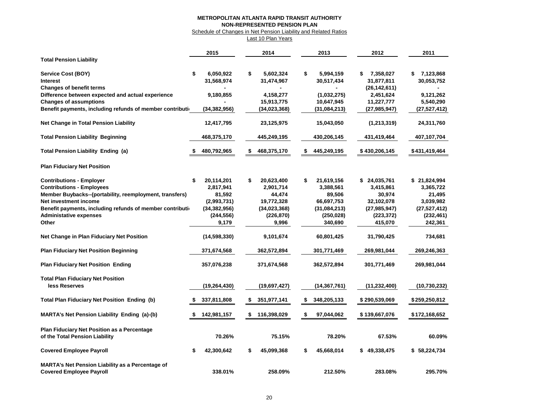#### **METROPOLITAN ATLANTA RAPID TRANSIT AUTHORITY NON-REPRESENTED PENSION PLAN**

Schedule of Changes in Net Pension Liability and Related Ratios

Last 10 Plan Years

|                                                            | 2015             | 2014              | 2013              | 2012            | 2011            |
|------------------------------------------------------------|------------------|-------------------|-------------------|-----------------|-----------------|
| <b>Total Pension Liability</b>                             |                  |                   |                   |                 |                 |
| Service Cost (BOY)                                         | \$<br>6,050,922  | \$<br>5,602,324   | \$<br>5,994,159   | \$<br>7,358,027 | \$<br>7,123,868 |
| <b>Interest</b>                                            | 31,568,974       | 31,474,967        | 30,517,434        | 31,877,811      | 30,053,752      |
| <b>Changes of benefit terms</b>                            |                  |                   |                   | (26, 142, 611)  |                 |
| Difference between expected and actual experience          | 9,180,855        | 4,158,277         | (1,032,275)       | 2,451,624       | 9,121,262       |
| <b>Changes of assumptions</b>                              |                  | 15,913,775        | 10,647,945        | 11,227,777      | 5,540,290       |
| Benefit payments, including refunds of member contribution | (34, 382, 956)   | (34, 023, 368)    | (31,084,213)      | (27,985,947)    | (27,527,412)    |
| Net Change in Total Pension Liability                      | 12,417,795       | 23,125,975        | 15,043,050        | (1,213,319)     | 24,311,760      |
| <b>Total Pension Liability Beginning</b>                   | 468,375,170      | 445,249,195       | 430,206,145       | 431,419,464     | 407,107,704     |
| <b>Total Pension Liability Ending (a)</b>                  | 480,792,965      | \$<br>468,375,170 | 445,249,195<br>\$ | \$430,206,145   | \$431,419,464   |
| <b>Plan Fiduciary Net Position</b>                         |                  |                   |                   |                 |                 |
| <b>Contributions - Employer</b>                            | 20,114,201<br>\$ | \$<br>20,623,400  | \$<br>21,619,156  | \$24,035,761    | \$21,824,994    |
| <b>Contributions - Employees</b>                           | 2,817,941        | 2,901,714         | 3,388,561         | 3,415,861       | 3,365,722       |
| Member Buybacks--(portability, reemployment, transfers)    | 81,592           | 44,474            | 89,506            | 30,974          | 21,495          |
| Net investment income                                      | (2,993,731)      | 19,772,328        | 66,697,753        | 32,102,078      | 3,039,982       |
| Benefit payments, including refunds of member contribution | (34, 382, 956)   | (34, 023, 368)    | (31,084,213)      | (27, 985, 947)  | (27, 527, 412)  |
| <b>Administative expenses</b>                              | (244, 556)       | (226, 870)        | (250, 028)        | (223, 372)      | (232, 461)      |
| Other                                                      | 9,179            | 9,996             | 340,690           | 415,070         | 242,361         |
| Net Change in Plan Fiduciary Net Position                  | (14, 598, 330)   | 9,101,674         | 60,801,425        | 31,790,425      | 734,681         |
| <b>Plan Fiduciary Net Position Beginning</b>               | 371,674,568      | 362,572,894       | 301,771,469       | 269,981,044     | 269,246,363     |
| <b>Plan Fiduciary Net Position Ending</b>                  | 357,076,238      | 371,674,568       | 362,572,894       | 301,771,469     | 269,981,044     |
| <b>Total Plan Fiduciary Net Position</b>                   |                  |                   |                   |                 |                 |
| less Reserves                                              | (19, 264, 430)   | (19,697,427)      | (14, 367, 761)    | (11, 232, 400)  | (10, 730, 232)  |
| <b>Total Plan Fiduciary Net Position Ending (b)</b>        | 337,811,808<br>S | \$<br>351,977,141 | 348,205,133<br>\$ | \$290,539,069   | \$259,250,812   |
| <b>MARTA's Net Pension Liability Ending (a)-(b)</b>        | 142,981,157      | \$<br>116,398,029 | \$<br>97,044,062  | \$139,667,076   | \$172,168,652   |
| Plan Fiduciary Net Position as a Percentage                |                  |                   |                   |                 |                 |
| of the Total Pension Liability                             | 70.26%           | 75.15%            | 78.20%            | 67.53%          | 60.09%          |
| <b>Covered Employee Payroll</b>                            | \$<br>42,300,642 | \$<br>45,099,368  | \$<br>45,668,014  | \$49,338,475    | \$58,224,734    |
| <b>MARTA's Net Pension Liability as a Percentage of</b>    |                  |                   |                   |                 |                 |
| <b>Covered Employee Payroll</b>                            | 338.01%          | 258.09%           | 212.50%           | 283.08%         | 295.70%         |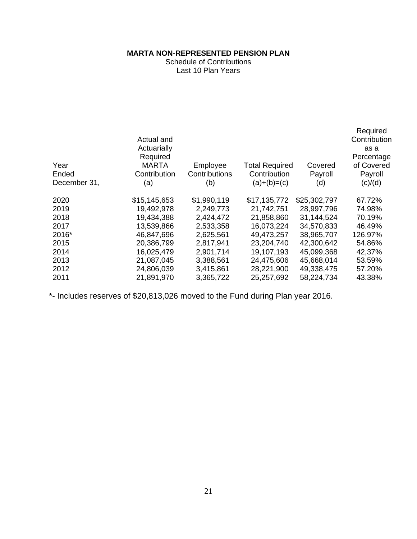Schedule of Contributions Last 10 Plan Years

| Year<br>Ended<br>December 31, | Actual and<br>Actuarially<br>Required<br><b>MARTA</b><br>Contribution<br>(a) | Employee<br>Contributions<br>(b) | <b>Total Required</b><br>Contribution<br>$(a)+(b)=(c)$ | Covered<br>Payroll<br>(d) | Required<br>Contribution<br>as a<br>Percentage<br>of Covered<br>Payroll<br>(c)/(d) |
|-------------------------------|------------------------------------------------------------------------------|----------------------------------|--------------------------------------------------------|---------------------------|------------------------------------------------------------------------------------|
|                               |                                                                              |                                  |                                                        |                           |                                                                                    |
| 2020                          | \$15,145,653                                                                 | \$1,990,119                      | \$17,135,772                                           | \$25,302,797              | 67.72%                                                                             |
| 2019                          | 19,492,978                                                                   | 2,249,773                        | 21,742,751                                             | 28,997,796                | 74.98%                                                                             |
| 2018                          | 19,434,388                                                                   | 2,424,472                        | 21,858,860                                             | 31,144,524                | 70.19%                                                                             |
| 2017                          | 13,539,866                                                                   | 2,533,358                        | 16,073,224                                             | 34,570,833                | 46.49%                                                                             |
| 2016*                         | 46,847,696                                                                   | 2,625,561                        | 49,473,257                                             | 38,965,707                | 126.97%                                                                            |
| 2015                          | 20,386,799                                                                   | 2,817,941                        | 23,204,740                                             | 42,300,642                | 54.86%                                                                             |
| 2014                          | 16,025,479                                                                   | 2,901,714                        | 19,107,193                                             | 45,099,368                | 42,37%                                                                             |
| 2013                          | 21,087,045                                                                   | 3,388,561                        | 24,475,606                                             | 45,668,014                | 53.59%                                                                             |
| 2012                          | 24,806,039                                                                   | 3,415,861                        | 28,221,900                                             | 49,338,475                | 57.20%                                                                             |
| 2011                          | 21,891,970                                                                   | 3,365,722                        | 25,257,692                                             | 58,224,734                | 43.38%                                                                             |

\*- Includes reserves of \$20,813,026 moved to the Fund during Plan year 2016.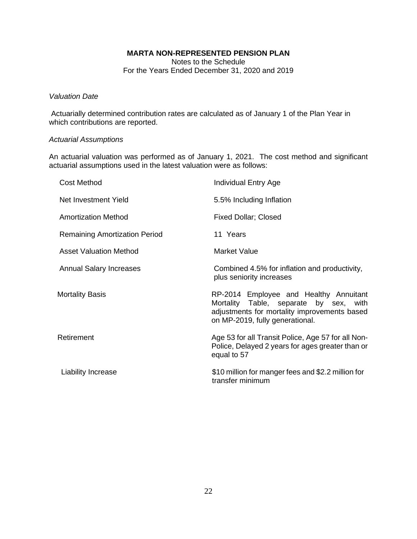Notes to the Schedule For the Years Ended December 31, 2020 and 2019

#### *Valuation Date*

Actuarially determined contribution rates are calculated as of January 1 of the Plan Year in which contributions are reported.

#### *Actuarial Assumptions*

An actuarial valuation was performed as of January 1, 2021. The cost method and significant actuarial assumptions used in the latest valuation were as follows:

| <b>Cost Method</b>                   | Individual Entry Age                                                                                                                                                |
|--------------------------------------|---------------------------------------------------------------------------------------------------------------------------------------------------------------------|
| Net Investment Yield                 | 5.5% Including Inflation                                                                                                                                            |
| Amortization Method                  | <b>Fixed Dollar; Closed</b>                                                                                                                                         |
| <b>Remaining Amortization Period</b> | 11 Years                                                                                                                                                            |
| <b>Asset Valuation Method</b>        | <b>Market Value</b>                                                                                                                                                 |
| <b>Annual Salary Increases</b>       | Combined 4.5% for inflation and productivity,<br>plus seniority increases                                                                                           |
| <b>Mortality Basis</b>               | RP-2014 Employee and Healthy Annuitant<br>Mortality Table, separate by sex, with<br>adjustments for mortality improvements based<br>on MP-2019, fully generational. |
| Retirement                           | Age 53 for all Transit Police, Age 57 for all Non-<br>Police, Delayed 2 years for ages greater than or<br>equal to 57                                               |
| Liability Increase                   | \$10 million for manger fees and \$2.2 million for<br>transfer minimum                                                                                              |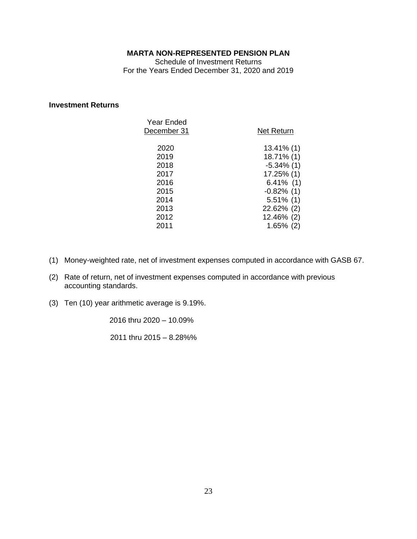Schedule of Investment Returns For the Years Ended December 31, 2020 and 2019

## **Investment Returns**

| Year Ended<br>December 31 | <b>Net Return</b> |
|---------------------------|-------------------|
| 2020                      | $13.41\%$ (1)     |
| 2019                      | $18.71\%$ (1)     |
| 2018                      | $-5.34\%$ (1)     |
| 2017                      | $17.25\%$ (1)     |
| 2016                      | $6.41\%$ (1)      |
| 2015                      | $-0.82\%$ (1)     |
| 2014                      | $5.51\%$ (1)      |
| 2013                      | 22.62% (2)        |
| 2012                      | 12.46% (2)        |
| 2011                      | $1.65\%$ (2)      |
|                           |                   |

- (1) Money-weighted rate, net of investment expenses computed in accordance with GASB 67.
- (2) Rate of return, net of investment expenses computed in accordance with previous accounting standards.
- (3) Ten (10) year arithmetic average is 9.19%.

2016 thru 2020 – 10.09%

2011 thru 2015 – 8.28%%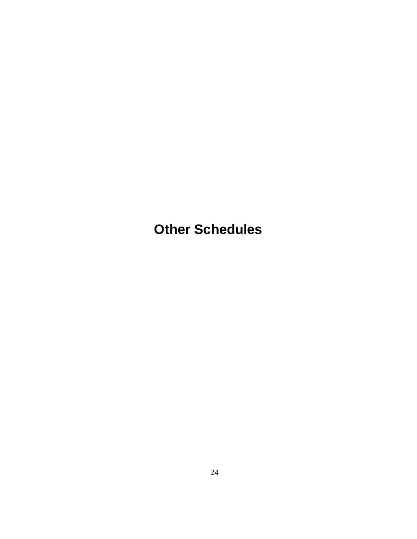**Other Schedules**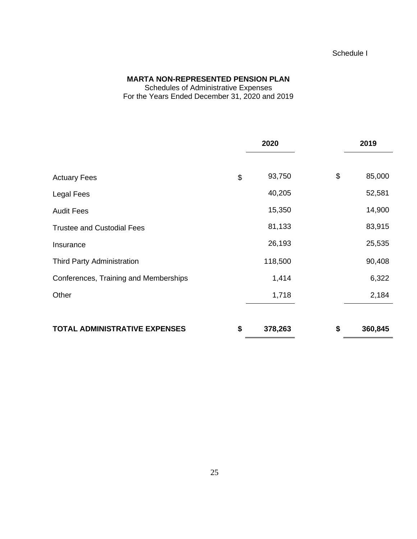# Schedule I

# **MARTA NON-REPRESENTED PENSION PLAN**

Schedules of Administrative Expenses For the Years Ended December 31, 2020 and 2019

|                                       | 2020          | 2019          |
|---------------------------------------|---------------|---------------|
|                                       |               |               |
| <b>Actuary Fees</b>                   | \$<br>93,750  | \$<br>85,000  |
| Legal Fees                            | 40,205        | 52,581        |
| <b>Audit Fees</b>                     | 15,350        | 14,900        |
| <b>Trustee and Custodial Fees</b>     | 81,133        | 83,915        |
| Insurance                             | 26,193        | 25,535        |
| Third Party Administration            | 118,500       | 90,408        |
| Conferences, Training and Memberships | 1,414         | 6,322         |
| Other                                 | 1,718         | 2,184         |
|                                       |               |               |
| <b>TOTAL ADMINISTRATIVE EXPENSES</b>  | \$<br>378,263 | \$<br>360,845 |